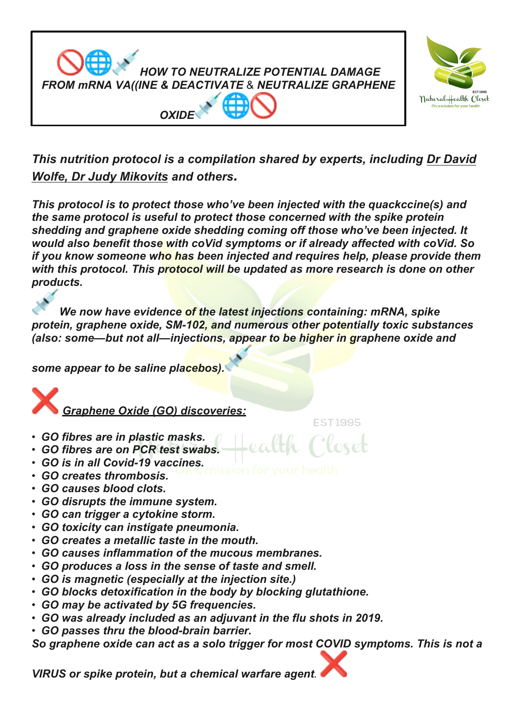



*This nutrition protocol is a compilation shared by experts, including Dr David Wolfe, Dr Judy Mikovits and others.*

*This protocol is to protect those who've been injected with the quackccine(s) and the same protocol is useful to protect those concerned with the spike protein shedding and graphene oxide shedding coming off those who've been injected. It would also benefit those with coVid symptoms or if already affected with coVid. So if you know someone who has been injected and requires help, please provide them*  with this protocol. This protocol will be updated as more research is done on other *products.*

*We now have evidence of the latest injections containing: mRNA, spike protein, graphene oxide, SM-102, and numerous other potentially toxic substances (also: some—but not all—injections, appear to be higher in graphene oxide and* 

**EST1995** 

*some appear to be saline placebos).*



- *GO fibres are in plastic masks.*
- *GO fibres are on PCR test swabs.*
- *GO is in all Covid-19 vaccines.*
- *GO creates thrombosis.*
- *GO causes blood clots.*
- *GO disrupts the immune system.*
- *GO can trigger a cytokine storm.*
- *GO toxicity can instigate pneumonia.*
- *GO creates a metallic taste in the mouth.*
- *GO causes inflammation of the mucous membranes.*
- *GO produces a loss in the sense of taste and smell.*
- *GO is magnetic (especially at the injection site.)*
- *GO blocks detoxification in the body by blocking glutathione.*
- *GO may be activated by 5G frequencies.*
- *GO was already included as an adjuvant in the flu shots in 2019.*
- *GO passes thru the blood-brain barrier.*

*So graphene oxide can act as a solo trigger for most COVID symptoms. This is not a* 

*VIRUS or spike protein, but a chemical warfare agent.*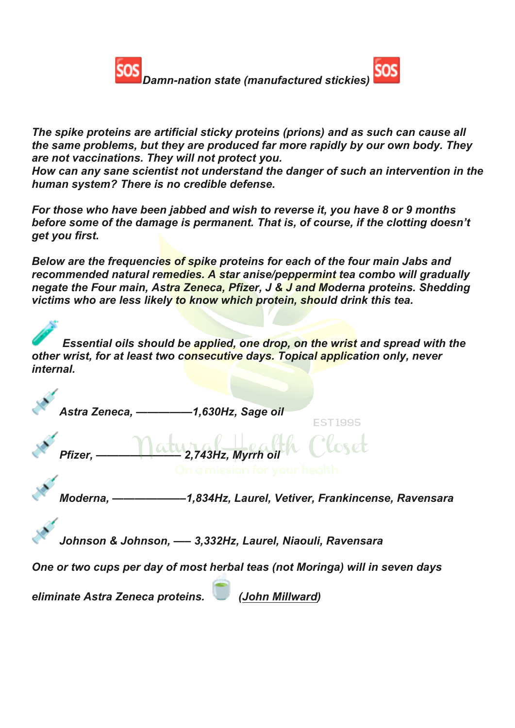

*The spike proteins are artificial sticky proteins (prions) and as such can cause all the same problems, but they are produced far more rapidly by our own body. They are not vaccinations. They will not protect you.*

*How can any sane scientist not understand the danger of such an intervention in the human system? There is no credible defense.*

*For those who have been jabbed and wish to reverse it, you have 8 or 9 months before some of the damage is permanent. That is, of course, if the clotting doesn't get you first.*

*Below are the frequencies of spike proteins for each of the four main Jabs and recommended natural remedies. A star anise/peppermint tea combo will gradually negate the Four main, Astra Zeneca, Pfizer, J & J and Moderna proteins. Shedding victims who are less likely to know which protein, should drink this tea.*

*Essential oils should be applied, one drop, on the wrist and spread with the other wrist, for at least two consecutive days. Topical application only, never internal.*

| <b>EST1995</b>                                                               |
|------------------------------------------------------------------------------|
| Pfizer, Matur, 743Hz, Myrrh oil<br>a mission for vour l                      |
| $Moderna.$ -------<br>-----1,834Hz, Laurel, Vetiver, Frankincense, Ravensara |
| Johnson & Johnson, - 3,332Hz, Laurel, Niaouli, Ravensara                     |
| One or two cups per day of most herbal teas (not Moringa) will in seven days |

*eliminate Astra Zeneca proteins. (John Millward)*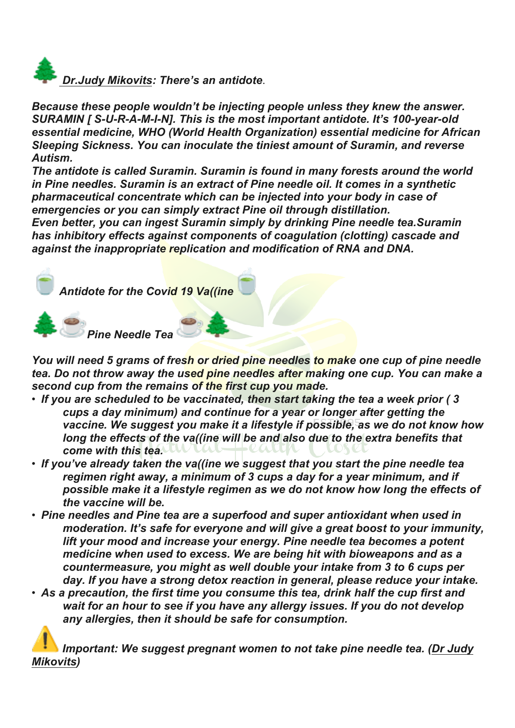

*Because these people wouldn't be injecting people unless they knew the answer. SURAMIN [ S-U-R-A-M-I-N]. This is the most important antidote. It's 100-year-old essential medicine, WHO (World Health Organization) essential medicine for African Sleeping Sickness. You can inoculate the tiniest amount of Suramin, and reverse Autism.*

*The antidote is called Suramin. Suramin is found in many forests around the world in Pine needles. Suramin is an extract of Pine needle oil. It comes in a synthetic pharmaceutical concentrate which can be injected into your body in case of emergencies or you can simply extract Pine oil through distillation. Even better, you can ingest Suramin simply by drinking Pine needle tea.Suramin has inhibitory effects against components of coagulation (clotting) cascade and against the inappropriate replication and modification of RNA and DNA.*





*You will need 5 grams of fresh or dried pine needles to make one cup of pine needle tea. Do not throw away the used pine needles after making one cup. You can make a second cup from the remains of the first cup you made.*

- *If you are scheduled to be vaccinated, then start taking the tea a week prior ( 3 cups a day minimum) and continue for a year or longer after getting the vaccine. We suggest you make it a lifestyle if possible, as we do not know how long the effects of the valine will be and also due to the extra benefits that come with this tea.*
- *If you've already taken the va((ine we suggest that you start the pine needle tea regimen right away, a minimum of 3 cups a day for a year minimum, and if possible make it a lifestyle regimen as we do not know how long the effects of the vaccine will be.*
- *Pine needles and Pine tea are a superfood and super antioxidant when used in moderation. It's safe for everyone and will give a great boost to your immunity, lift your mood and increase your energy. Pine needle tea becomes a potent medicine when used to excess. We are being hit with bioweapons and as a countermeasure, you might as well double your intake from 3 to 6 cups per day. If you have a strong detox reaction in general, please reduce your intake.*
- *As a precaution, the first time you consume this tea, drink half the cup first and wait for an hour to see if you have any allergy issues. If you do not develop any allergies, then it should be safe for consumption.*

*Important: We suggest pregnant women to not take pine needle tea. (Dr Judy Mikovits)*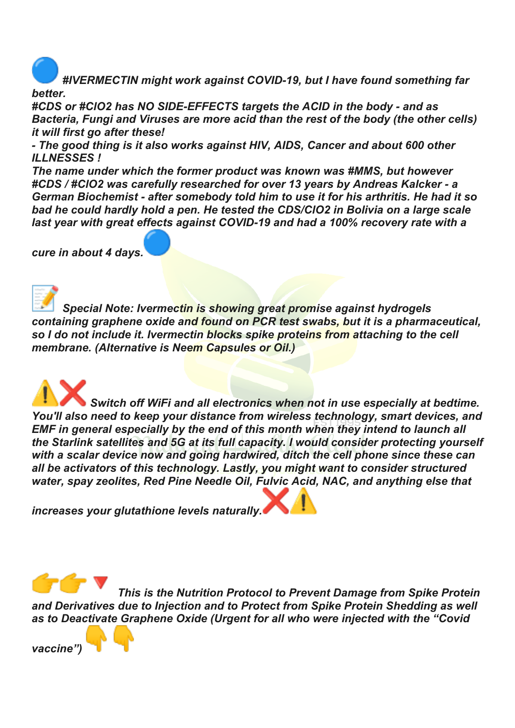*#IVERMECTIN might work against COVID-19, but I have found something far better.*

*#CDS or #ClO2 has NO SIDE-EFFECTS targets the ACID in the body - and as Bacteria, Fungi and Viruses are more acid than the rest of the body (the other cells) it will first go after these!*

*- The good thing is it also works against HIV, AIDS, Cancer and about 600 other ILLNESSES !*

*The name under which the former product was known was #MMS, but however #CDS / #ClO2 was carefully researched for over 13 years by Andreas Kalcker - a German Biochemist - after somebody told him to use it for his arthritis. He had it so bad he could hardly hold a pen. He tested the CDS/ClO2 in Bolivia on a large scale last year with great effects against COVID-19 and had a 100% recovery rate with a* 

*cure in about 4 days.*

*Special Note: Ivermectin is showing great promise against hydrogels containing graphene oxide and found on PCR test swabs, but it is a pharmaceutical, so I do not include it. Ivermectin blocks spike proteins from attaching to the cell membrane. (Alternative is Neem Capsules or Oil.)*

*Switch off WiFi and all electronics when not in use especially at bedtime. You'll also need to keep your distance from wireless technology, smart devices, and EMF in general especially by the end of this month when they intend to launch all the Starlink satellites and 5G at its full capacity. I would consider protecting yourself with a scalar device now and going hardwired, ditch the cell phone since these can all be activators of this technology. Lastly, you might want to consider structured water, spay zeolites, Red Pine Needle Oil, Fulvic Acid, NAC, and anything else that* 

*increases your glutathione levels naturally.*



*vaccine")*

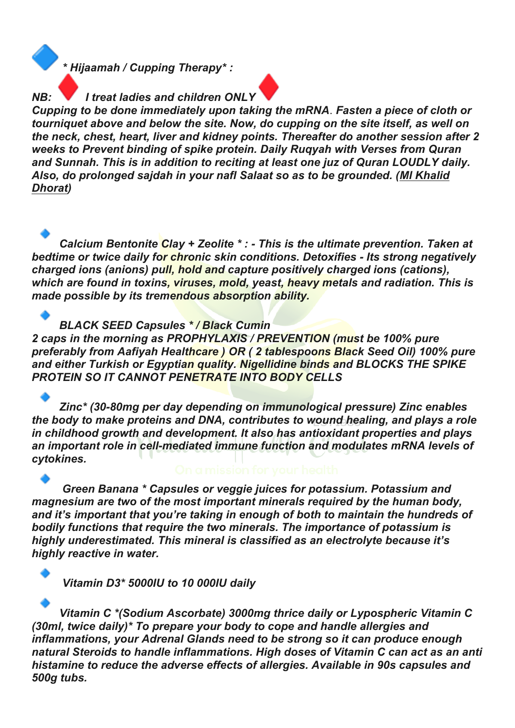*\* Hijaamah / Cupping Therapy\* :*



*NB: I treat ladies and children ONLY*

*Cupping to be done immediately upon taking the mRNA*. *Fasten a piece of cloth or tourniquet above and below the site. Now, do cupping on the site itself, as well on the neck, chest, heart, liver and kidney points. Thereafter do another session after 2 weeks to Prevent binding of spike protein. Daily Ruqyah with Verses from Quran and Sunnah. This is in addition to reciting at least one juz of Quran LOUDLY daily. Also, do prolonged sajdah in your nafl Salaat so as to be grounded. (Ml Khalid Dhorat)*

*Calcium Bentonite Clay + Zeolite \* : - This is the ultimate prevention. Taken at bedtime or twice daily for chronic skin conditions. Detoxifies - Its strong negatively charged ions (anions) pull, hold and capture positively charged ions (cations), which are found in toxins, viruses, mold, yeast, heavy metals and radiation. This is made possible by its tremendous absorption ability.*

*BLACK SEED Capsules \* / Black Cumin 2 caps in the morning as PROPHYLAXIS / PREVENTION (must be 100% pure preferably from Aafiyah Healthcare ) OR ( 2 tablespoons Black Seed Oil) 100% pure and either Turkish or Egyptian quality. Nigellidine binds and BLOCKS THE SPIKE PROTEIN SO IT CANNOT PENETRATE INTO BODY CELLS*

*Zinc\* (30-80mg per day depending on immunological pressure) Zinc enables the body to make proteins and DNA, contributes to wound healing, and plays a role in childhood growth and development. It also has antioxidant properties and plays an important role in cell-mediated immune function and modulates mRNA levels of cytokines.*

*Green Banana \* Capsules or veggie juices for potassium. Potassium and magnesium are two of the most important minerals required by the human body, and it's important that you're taking in enough of both to maintain the hundreds of bodily functions that require the two minerals. The importance of potassium is highly underestimated. This mineral is classified as an electrolyte because it's highly reactive in water.*

*Vitamin D3\* 5000IU to 10 000IU daily*

*Vitamin C \*(Sodium Ascorbate) 3000mg thrice daily or Lypospheric Vitamin C (30ml, twice daily)\* To prepare your body to cope and handle allergies and inflammations, your Adrenal Glands need to be strong so it can produce enough natural Steroids to handle inflammations. High doses of Vitamin C can act as an anti histamine to reduce the adverse effects of allergies. Available in 90s capsules and 500g tubs.*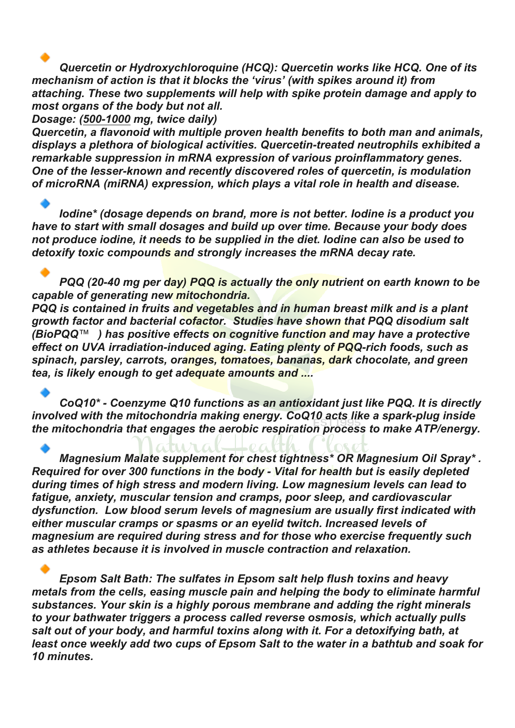*Quercetin or Hydroxychloroquine (HCQ): Quercetin works like HCQ. One of its mechanism of action is that it blocks the 'virus' (with spikes around it) from attaching. These two supplements will help with spike protein damage and apply to most organs of the body but not all.*

*Dosage: (500-1000 mg, twice daily)*

*Quercetin, a flavonoid with multiple proven health benefits to both man and animals, displays a plethora of biological activities. Quercetin-treated neutrophils exhibited a remarkable suppression in mRNA expression of various proinflammatory genes. One of the lesser-known and recently discovered roles of quercetin, is modulation of microRNA (miRNA) expression, which plays a vital role in health and disease.*

*Iodine\* (dosage depends on brand, more is not better. Iodine is a product you have to start with small dosages and build up over time. Because your body does not produce iodine, it needs to be supplied in the diet. Iodine can also be used to detoxify toxic compounds and strongly increases the mRNA decay rate.*

*PQQ (20-40 mg per day) PQQ is actually the only nutrient on earth known to be capable of generating new mitochondria.*

*PQQ is contained in fruits and vegetables and in human breast milk and is a plant growth factor and bacterial cofactor. Studies have shown that PQQ disodium salt (BioPQQ*™*) has positive effects on cognitive function and may have a protective effect on UVA irradiation-induced aging. Eating plenty of PQQ-rich foods, such as spinach, parsley, carrots, oranges, tomatoes, bananas, dark chocolate, and green tea, is likely enough to get adequate amounts and ....*

*CoQ10\* - Coenzyme Q10 functions as an antioxidant just like PQQ. It is directly involved with the mitochondria making energy. CoQ10 acts like a spark-plug inside the mitochondria that engages the aerobic respiration process to make ATP/energy.*

-eal atural-*Magnesium Malate supplement for chest tightness\* OR Magnesium Oil Spray\* . Required for over 300 functions in the body - Vital for health but is easily depleted during times of high stress and modern living. Low magnesium levels can lead to fatigue, anxiety, muscular tension and cramps, poor sleep, and cardiovascular dysfunction. Low blood serum levels of magnesium are usually first indicated with either muscular cramps or spasms or an eyelid twitch. Increased levels of magnesium are required during stress and for those who exercise frequently such as athletes because it is involved in muscle contraction and relaxation.*

*Epsom Salt Bath: The sulfates in Epsom salt help flush toxins and heavy metals from the cells, easing muscle pain and helping the body to eliminate harmful substances. Your skin is a highly porous membrane and adding the right minerals to your bathwater triggers a process called reverse osmosis, which actually pulls salt out of your body, and harmful toxins along with it. For a detoxifying bath, at least once weekly add two cups of Epsom Salt to the water in a bathtub and soak for 10 minutes.*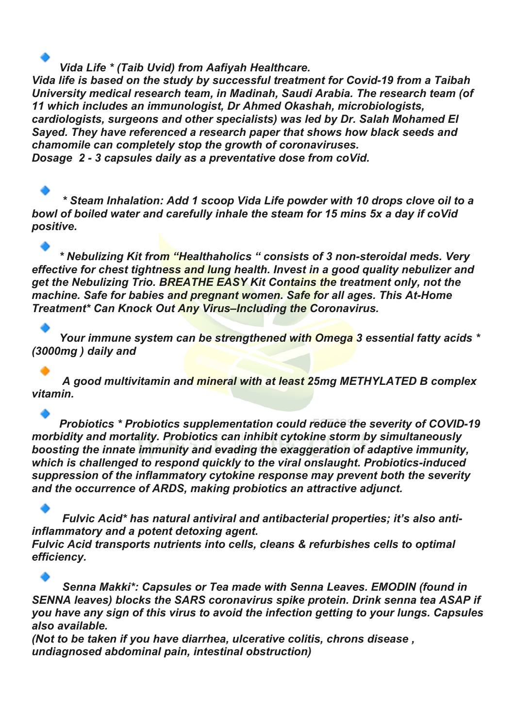*Vida Life \* (Taib Uvid) from Aafiyah Healthcare. Vida life is based on the study by successful treatment for Covid-19 from a Taibah University medical research team, in Madinah, Saudi Arabia. The research team (of 11 which includes an immunologist, Dr Ahmed Okashah, microbiologists, cardiologists, surgeons and other specialists) was led by Dr. Salah Mohamed El Sayed. They have referenced a research paper that shows how black seeds and chamomile can completely stop the growth of coronaviruses. Dosage 2 - 3 capsules daily as a preventative dose from coVid.*

*\* Steam Inhalation: Add 1 scoop Vida Life powder with 10 drops clove oil to a bowl of boiled water and carefully inhale the steam for 15 mins 5x a day if coVid positive.*

*\* Nebulizing Kit from "Healthaholics " consists of 3 non-steroidal meds. Very effective for chest tightness and lung health. Invest in a good quality nebulizer and get the Nebulizing Trio. BREATHE EASY Kit Contains the treatment only, not the machine. Safe for babies and pregnant women. Safe for all ages. This At-Home Treatment\* Can Knock Out Any Virus–Including the Coronavirus.* 

*Your immune system can be strengthened with Omega 3 essential fatty acids \* (3000mg ) daily and*

*A good multivitamin and mineral with at least 25mg METHYLATED B complex vitamin.*

*Probiotics \* Probiotics supplementation could reduce the severity of COVID-19 morbidity and mortality. Probiotics can inhibit cytokine storm by simultaneously boosting the innate immunity and evading the exaggeration of adaptive immunity, which is challenged to respond quickly to the viral onslaught. Probiotics-induced suppression of the inflammatory cytokine response may prevent both the severity and the occurrence of ARDS, making probiotics an attractive adjunct.*

*Fulvic Acid\* has natural antiviral and antibacterial properties; it's also antiinflammatory and a potent detoxing agent.*

*Fulvic Acid transports nutrients into cells, cleans & refurbishes cells to optimal efficiency.*

*Senna Makki\*: Capsules or Tea made with Senna Leaves. EMODIN (found in SENNA leaves) blocks the SARS coronavirus spike protein. Drink senna tea ASAP if you have any sign of this virus to avoid the infection getting to your lungs. Capsules also available.*

*(Not to be taken if you have diarrhea, ulcerative colitis, chrons disease , undiagnosed abdominal pain, intestinal obstruction)*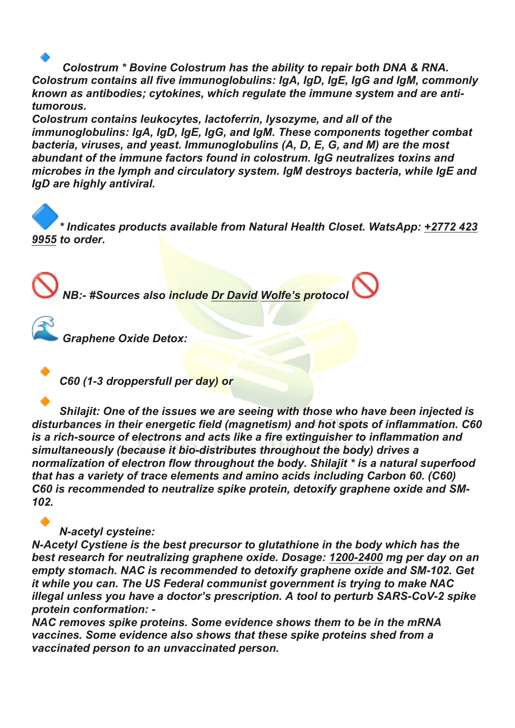*Colostrum \* Bovine Colostrum has the ability to repair both DNA & RNA. Colostrum contains all five immunoglobulins: IgA, IgD, IgE, IgG and IgM, commonly known as antibodies; cytokines, which regulate the immune system and are antitumorous.*

*Colostrum contains leukocytes, lactoferrin, lysozyme, and all of the immunoglobulins: IgA, IgD, IgE, IgG, and IgM. These components together combat bacteria, viruses, and yeast. Immunoglobulins (A, D, E, G, and M) are the most abundant of the immune factors found in colostrum. IgG neutralizes toxins and microbes in the lymph and circulatory system. IgM destroys bacteria, while IgE and IgD are highly antiviral.*

*\* Indicates products available from Natural Health Closet. WatsApp: +2772 423 9955 to order.*

*NB:- #Sources also include Dr David Wolfe's protocol* 

*Graphene Oxide Detox:*

*C60 (1-3 droppersfull per day) or*

*Shilajit: One of the issues we are seeing with those who have been injected is disturbances in their energetic field (magnetism) and hot spots of inflammation. C60 is a rich-source of electrons and acts like a fire extinguisher to inflammation and simultaneously (because it bio-distributes throughout the body) drives a normalization of electron flow throughout the body. Shilajit \* is a natural superfood that has a variety of trace elements and amino acids including Carbon 60. (C60) C60 is recommended to neutralize spike protein, detoxify graphene oxide and SM-102.*

## *N-acetyl cysteine:*

*N-Acetyl Cystiene is the best precursor to glutathione in the body which has the best research for neutralizing graphene oxide. Dosage: 1200-2400 mg per day on an empty stomach. NAC is recommended to detoxify graphene oxide and SM-102. Get it while you can. The US Federal communist government is trying to make NAC illegal unless you have a doctor's prescription. A tool to perturb SARS-CoV-2 spike protein conformation: -*

*NAC removes spike proteins. Some evidence shows them to be in the mRNA vaccines. Some evidence also shows that these spike proteins shed from a vaccinated person to an unvaccinated person.*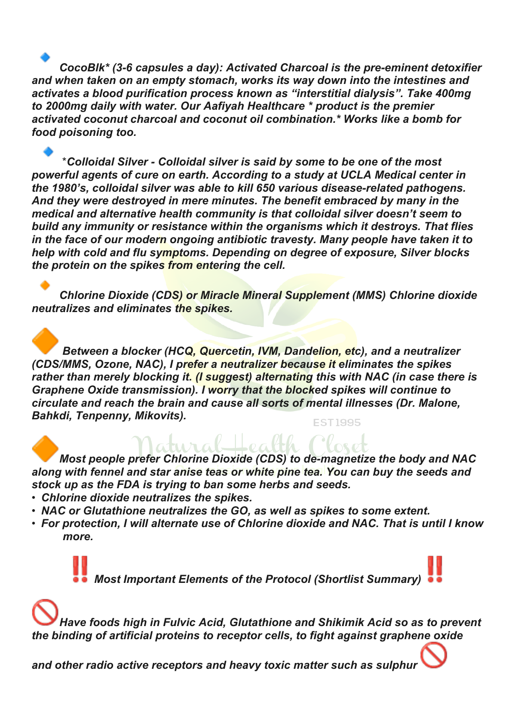*CocoBlk\* (3-6 capsules a day): Activated Charcoal is the pre-eminent detoxifier and when taken on an empty stomach, works its way down into the intestines and activates a blood purification process known as "interstitial dialysis". Take 400mg to 2000mg daily with water. Our Aafiyah Healthcare \* product is the premier activated coconut charcoal and coconut oil combination.\* Works like a bomb for food poisoning too.*

\**Colloidal Silver - Colloidal silver is said by some to be one of the most powerful agents of cure on earth. According to a study at UCLA Medical center in the 1980's, colloidal silver was able to kill 650 various disease-related pathogens. And they were destroyed in mere minutes. The benefit embraced by many in the medical and alternative health community is that colloidal silver doesn't seem to build any immunity or resistance within the organisms which it destroys. That flies in the face of our modern ongoing antibiotic travesty. Many people have taken it to help with cold and flu symptoms. Depending on degree of exposure, Silver blocks the protein on the spikes from entering the cell.*

*Chlorine Dioxide (CDS) or Miracle Mineral Supplement (MMS) Chlorine dioxide neutralizes and eliminates the spikes.*

*Between a blocker (HCQ, Quercetin, IVM, Dandelion, etc), and a neutralizer (CDS/MMS, Ozone, NAC), I prefer a neutralizer because it eliminates the spikes rather than merely blocking it. (I suggest) alternating this with NAC (in case there is Graphene Oxide transmission). I worry that the blocked spikes will continue to circulate and reach the brain and cause all sorts of mental illnesses (Dr. Malone, Bahkdi, Tenpenny, Mikovits).* **EST1995** 

*Most people prefer Chlorine Dioxide (CDS) to de-magnetize the body and NAC along with fennel and star anise teas or white pine tea. You can buy the seeds and stock up as the FDA is trying to ban some herbs and seeds.*

- *Chlorine dioxide neutralizes the spikes.*
- *NAC or Glutathione neutralizes the GO, as well as spikes to some extent.*
- *For protection, I will alternate use of Chlorine dioxide and NAC. That is until I know more.*



*Have foods high in Fulvic Acid, Glutathione and Shikimik Acid so as to prevent the binding of artificial proteins to receptor cells, to fight against graphene oxide* 

*and other radio active receptors and heavy toxic matter such as sulphur*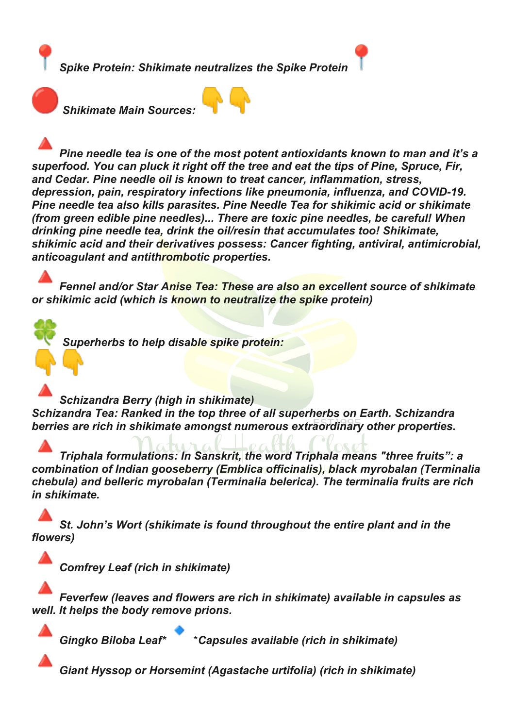*Spike Protein: Shikimate neutralizes the Spike Protein*



*Shikimate Main Sources:* 



*Pine needle tea is one of the most potent antioxidants known to man and it's a superfood. You can pluck it right off the tree and eat the tips of Pine, Spruce, Fir, and Cedar. Pine needle oil is known to treat cancer, inflammation, stress, depression, pain, respiratory infections like pneumonia, influenza, and COVID-19. Pine needle tea also kills parasites. Pine Needle Tea for shikimic acid or shikimate (from green edible pine needles)... There are toxic pine needles, be careful! When drinking pine needle tea, drink the oil/resin that accumulates too! Shikimate, shikimic acid and their derivatives possess: Cancer fighting, antiviral, antimicrobial, anticoagulant and antithrombotic properties.*

*Fennel and/or Star Anise Tea: These are also an excellent source of shikimate or shikimic acid (which is known to neutralize the spike protein)*



*Schizandra Berry (high in shikimate) Schizandra Tea: Ranked in the top three of all superherbs on Earth. Schizandra berries are rich in shikimate amongst numerous extraordinary other properties.*

*Triphala formulations: In Sanskrit, the word Triphala means "three fruits": a combination of Indian gooseberry (Emblica officinalis), black myrobalan (Terminalia chebula) and belleric myrobalan (Terminalia belerica). The terminalia fruits are rich in shikimate.*

*St. John's Wort (shikimate is found throughout the entire plant and in the flowers)*

*Comfrey Leaf (rich in shikimate)*

*Feverfew (leaves and flowers are rich in shikimate) available in capsules as well. It helps the body remove prions.*

*Gingko Biloba Leaf\** \**Capsules available (rich in shikimate)*

*Giant Hyssop or Horsemint (Agastache urtifolia) (rich in shikimate)*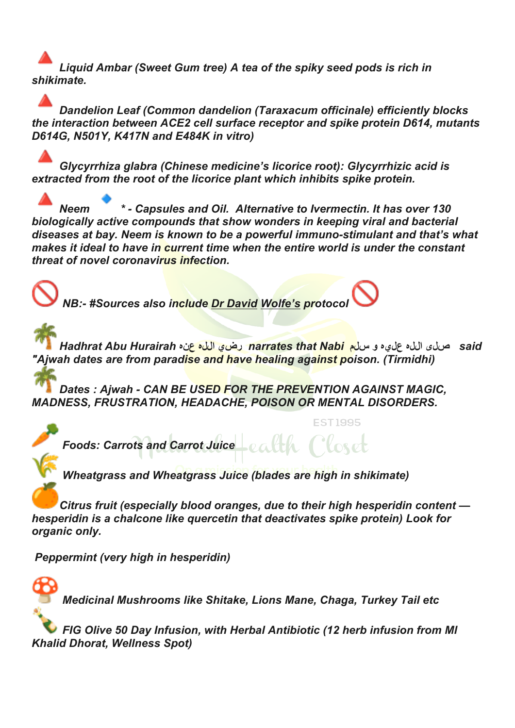*Liquid Ambar (Sweet Gum tree) A tea of the spiky seed pods is rich in shikimate.*

*Dandelion Leaf (Common dandelion (Taraxacum officinale) efficiently blocks the interaction between ACE2 cell surface receptor and spike protein D614, mutants D614G, N501Y, K417N and E484K in vitro)*

*Glycyrrhiza glabra (Chinese medicine's licorice root): Glycyrrhizic acid is extracted from the root of the licorice plant which inhibits spike protein.*

*Neem \* - Capsules and Oil. Alternative to Ivermectin. It has over 130 biologically active compounds that show wonders in keeping viral and bacterial diseases at bay. Neem is known to be a powerful immuno-stimulant and that's what makes it ideal to have in current time when the entire world is under the constant threat of novel coronavirus infection.*

*NB:- #Sources also include Dr David Wolfe's protocol* 

 *said* **صلى الله عليه و سلم** *Nabi that narrates* **رضي الله عنه** *Hurairah Abu Hadhrat "Ajwah dates are from paradise and have healing against poison. (Tirmidhi)*

**EST1995** 

*Dates : Ajwah - CAN BE USED FOR THE PREVENTION AGAINST MAGIC, MADNESS, FRUSTRATION, HEADACHE, POISON OR MENTAL DISORDERS.*

*Foods: Carrots and Carrot Juice*

*Wheatgrass and Wheatgrass Juice (blades are high in shikimate)*

*Citrus fruit (especially blood oranges, due to their high hesperidin content hesperidin is a chalcone like quercetin that deactivates spike protein) Look for organic only.*

*Peppermint (very high in hesperidin)*

*Medicinal Mushrooms like Shitake, Lions Mane, Chaga, Turkey Tail etc*

*FIG Olive 50 Day Infusion, with Herbal Antibiotic (12 herb infusion from Ml Khalid Dhorat, Wellness Spot)*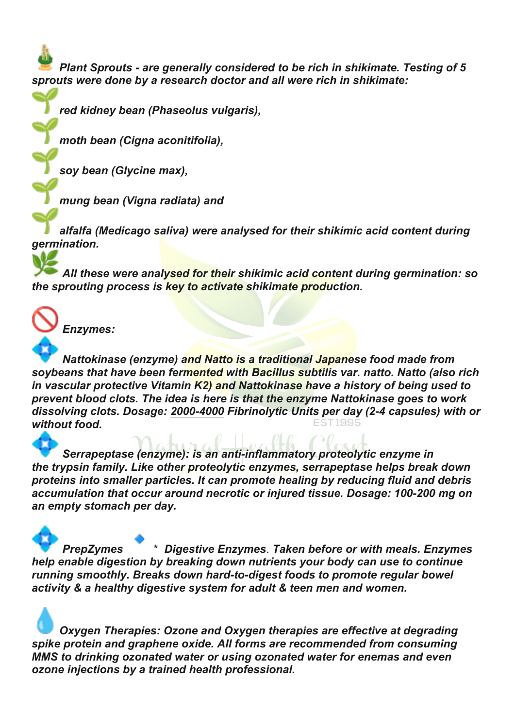*Plant Sprouts - are generally considered to be rich in shikimate. Testing of 5 sprouts were done by a research doctor and all were rich in shikimate:*

*red kidney bean (Phaseolus vulgaris),*

*moth bean (Cigna aconitifolia),*

*soy bean (Glycine max),*

*mung bean (Vigna radiata) and*

*alfalfa (Medicago saliva) were analysed for their shikimic acid content during germination.*

*All these were analysed for their shikimic acid content during germination: so the sprouting process is key to activate shikimate production.*

*Enzymes:*

*Nattokinase (enzyme) and Natto is a traditional Japanese food made from soybeans that have been fermented with Bacillus subtilis var. natto. Natto (also rich in vascular protective Vitamin K2) and Nattokinase have a history of being used to prevent blood clots. The idea is here is that the enzyme Nattokinase goes to work dissolving clots. Dosage: 2000-4000 Fibrinolytic Units per day (2-4 capsules) with or without food.*

*Serrapeptase (enzyme): is an anti-inflammatory proteolytic enzyme in the trypsin family. Like other proteolytic enzymes, serrapeptase helps break down proteins into smaller particles. It can promote healing by reducing fluid and debris accumulation that occur around necrotic or injured tissue. Dosage: 100-200 mg on an empty stomach per day.*

*PrepZymes* \* *Digestive Enzymes*. *Taken before or with meals. Enzymes help enable digestion by breaking down nutrients your body can use to continue running smoothly. Breaks down hard-to-digest foods to promote regular bowel activity & a healthy digestive system for adult & teen men and women.*

*Oxygen Therapies: Ozone and Oxygen therapies are effective at degrading spike protein and graphene oxide. All forms are recommended from consuming MMS to drinking ozonated water or using ozonated water for enemas and even ozone injections by a trained health professional.*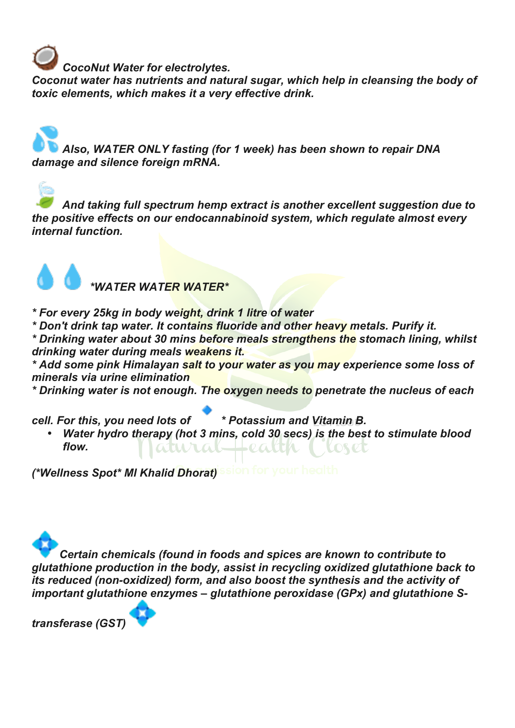*CocoNut Water for electrolytes. Coconut water has nutrients and natural sugar, which help in cleansing the body of toxic elements, which makes it a very effective drink.*

*Also, WATER ONLY fasting (for 1 week) has been shown to repair DNA damage and silence foreign mRNA.*

*And taking full spectrum hemp extract is another excellent suggestion due to the positive effects on our endocannabinoid system, which regulate almost every internal function.* 



*\* For every 25kg in body weight, drink 1 litre of water*

*\* Don't drink tap water. It contains fluoride and other heavy metals. Purify it.*

*\* Drinking water about 30 mins before meals strengthens the stomach lining, whilst drinking water during meals weakens it.*

*\* Add some pink Himalayan salt to your water as you may experience some loss of minerals via urine elimination*

*\* Drinking water is not enough. The oxygen needs to penetrate the nucleus of each*

*cell. For this, you need lots of \* Potassium and Vitamin B.*

• *Water hydro therapy (hot 3 mins, cold 30 secs) is the best to stimulate blood flow.*  $.001$ 

*(\*Wellness Spot\* Ml Khalid Dhorat)*

*Certain chemicals (found in foods and spices are known to contribute to glutathione production in the body, assist in recycling oxidized glutathione back to its reduced (non-oxidized) form, and also boost the synthesis and the activity of important glutathione enzymes – glutathione peroxidase (GPx) and glutathione S-*

*transferase (GST)*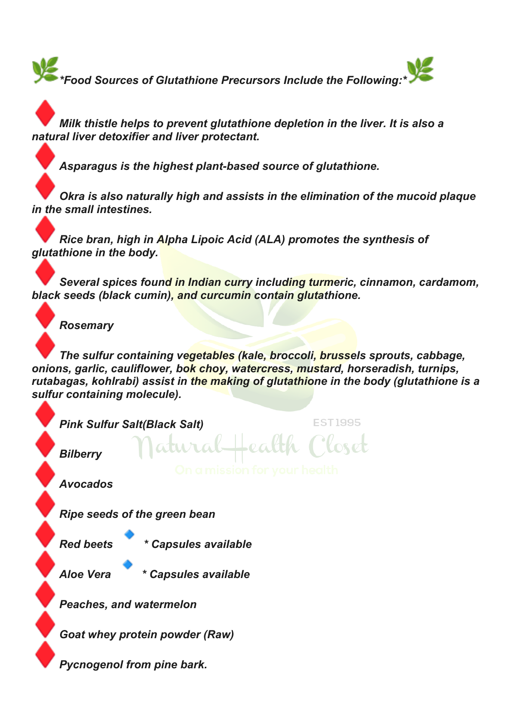*\*Food Sources of Glutathione Precursors Include the Following:\**

*Milk thistle helps to prevent glutathione depletion in the liver. It is also a natural liver detoxifier and liver protectant.*

*Asparagus is the highest plant-based source of glutathione.*

*Okra is also naturally high and assists in the elimination of the mucoid plaque in the small intestines.*

*Rice bran, high in Alpha Lipoic Acid (ALA) promotes the synthesis of glutathione in the body.*

*Several spices found in Indian curry including turmeric, cinnamon, cardamom, black seeds (black cumin), and curcumin contain glutathione.*

*Rosemary*

*The sulfur containing vegetables (kale, broccoli, brussels sprouts, cabbage, onions, garlic, cauliflower, bok choy, watercress, mustard, horseradish, turnips, rutabagas, kohlrabi) assist in the making of glutathione in the body (glutathione is a sulfur containing molecule).*

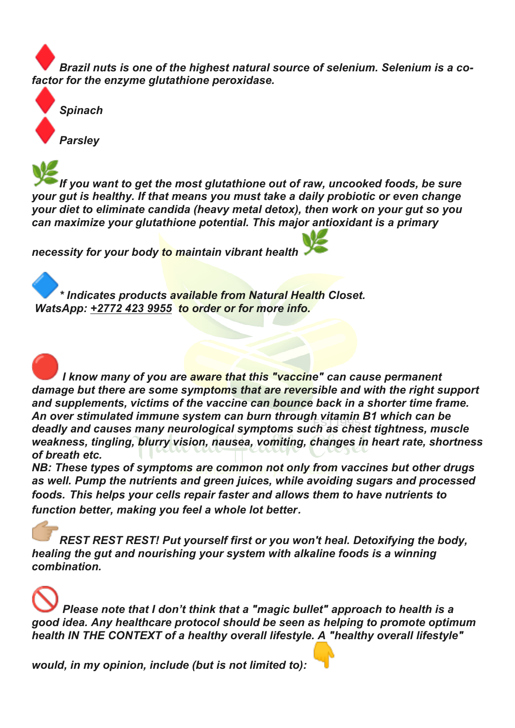*Brazil nuts is one of the highest natural source of selenium. Selenium is a cofactor for the enzyme glutathione peroxidase.*



*If you want to get the most glutathione out of raw, uncooked foods, be sure your gut is healthy. If that means you must take a daily probiotic or even change your diet to eliminate candida (heavy metal detox), then work on your gut so you can maximize your glutathione potential. This major antioxidant is a primary* 

*necessity for your body to maintain vibrant health* 

*\* Indicates products available from Natural Health Closet. WatsApp: +2772 423 9955 to order or for more info.* 

*I know many of you are aware that this "vaccine" can cause permanent damage but there are some symptoms that are reversible and with the right support and supplements, victims of the vaccine can bounce back in a shorter time frame. An over stimulated immune system can burn through vitamin B1 which can be deadly and causes many neurological symptoms such as chest tightness, muscle weakness, tingling, blurry vision, nausea, vomiting, changes in heart rate, shortness of breath etc.*

*NB: These types of symptoms are common not only from vaccines but other drugs as well. Pump the nutrients and green juices, while avoiding sugars and processed foods. This helps your cells repair faster and allows them to have nutrients to function better, making you feel a whole lot better.*

*REST REST REST! Put yourself first or you won't heal. Detoxifying the body, healing the gut and nourishing your system with alkaline foods is a winning combination.* 

*Please note that I don't think that a "magic bullet" approach to health is a good idea. Any healthcare protocol should be seen as helping to promote optimum health IN THE CONTEXT of a healthy overall lifestyle. A "healthy overall lifestyle"* 

*would, in my opinion, include (but is not limited to):* 

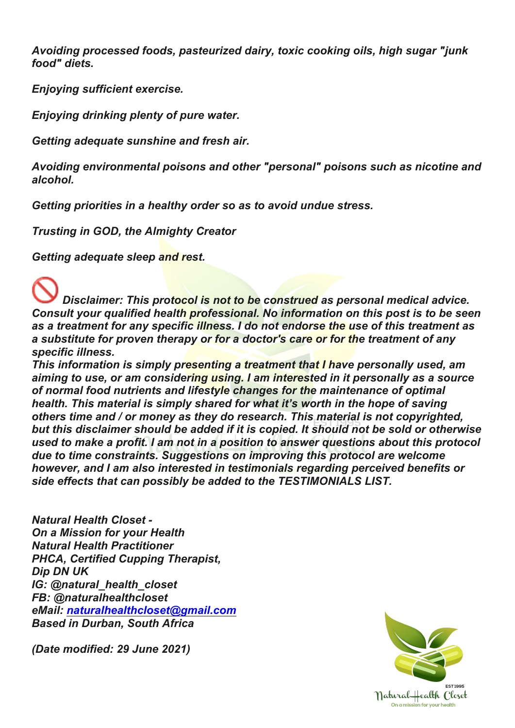*Avoiding processed foods, pasteurized dairy, toxic cooking oils, high sugar "junk food" diets.*

*Enjoying sufficient exercise.*

*Enjoying drinking plenty of pure water.*

*Getting adequate sunshine and fresh air.*

*Avoiding environmental poisons and other "personal" poisons such as nicotine and alcohol.*

*Getting priorities in a healthy order so as to avoid undue stress.*

*Trusting in GOD, the Almighty Creator*

*Getting adequate sleep and rest.*

*Disclaimer: This protocol is not to be construed as personal medical advice. Consult your qualified health professional. No information on this post is to be seen as a treatment for any specific illness. I do not endorse the use of this treatment as a substitute for proven therapy or for a doctor's care or for the treatment of any specific illness.*

*This information is simply presenting a treatment that I have personally used, am aiming to use, or am considering using. I am interested in it personally as a source of normal food nutrients and lifestyle changes for the maintenance of optimal health. This material is simply shared for what it's worth in the hope of saving others time and / or money as they do research. This material is not copyrighted, but this disclaimer should be added if it is copied. It should not be sold or otherwise used to make a profit. I am not in a position to answer questions about this protocol due to time constraints. Suggestions on improving this protocol are welcome however, and I am also interested in testimonials regarding perceived benefits or side effects that can possibly be added to the TESTIMONIALS LIST.*

*Natural Health Closet - On a Mission for your Health Natural Health Practitioner PHCA, Certified Cupping Therapist, Dip DN UK IG: @natural\_health\_closet FB: @naturalhealthcloset eMail: naturalhealthcloset@gmail.com Based in Durban, South Africa*

*(Date modified: 29 June 2021)*

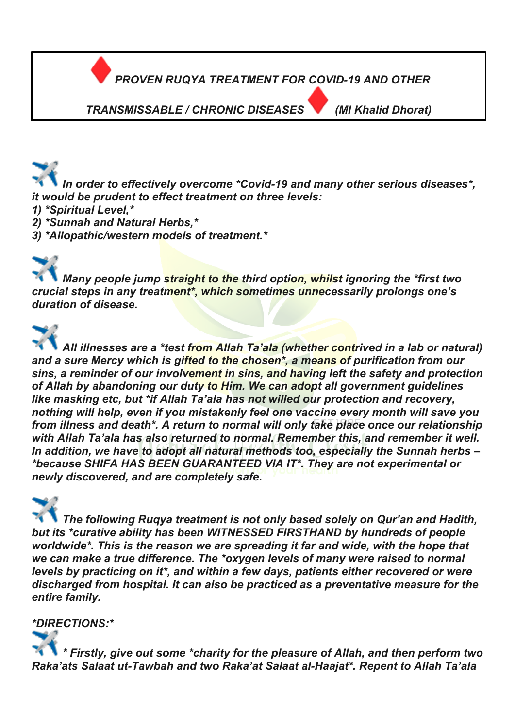*PROVEN RUQYA TREATMENT FOR COVID-19 AND OTHER* 

*TRANSMISSABLE / CHRONIC DISEASES (Ml Khalid Dhorat)*

*In order to effectively overcome \*Covid-19 and many other serious diseases\*, it would be prudent to effect treatment on three levels:*

- *1) \*Spiritual Level,\**
- *2) \*Sunnah and Natural Herbs,\**
- *3) \*Allopathic/western models of treatment.\**

*Many people jump straight to the third option, whilst ignoring the \*first two crucial steps in any treatment\*, which sometimes unnecessarily prolongs one's duration of disease.*

*All illnesses are a \*test from Allah Ta'ala (whether contrived in a lab or natural) and a sure Mercy which is gifted to the chosen\*, a means of purification from our sins, a reminder of our involvement in sins, and having left the safety and protection of Allah by abandoning our duty to Him. We can adopt all government guidelines like masking etc, but \*if Allah Ta'ala has not willed our protection and recovery, nothing will help, even if you mistakenly feel one vaccine every month will save you from illness and death\*. A return to normal will only take place once our relationship with Allah Ta'ala has also returned to normal. Remember this, and remember it well. In addition, we have to adopt all natural methods too, especially the Sunnah herbs – \*because SHIFA HAS BEEN GUARANTEED VIA IT\*. They are not experimental or newly discovered, and are completely safe.*

*The following Ruqya treatment is not only based solely on Qur'an and Hadith, but its \*curative ability has been WITNESSED FIRSTHAND by hundreds of people worldwide\*. This is the reason we are spreading it far and wide, with the hope that we can make a true difference. The \*oxygen levels of many were raised to normal levels by practicing on it\*, and within a few days, patients either recovered or were discharged from hospital. It can also be practiced as a preventative measure for the entire family.*

*\*DIRECTIONS:\**

*\* Firstly, give out some \*charity for the pleasure of Allah, and then perform two Raka'ats Salaat ut-Tawbah and two Raka'at Salaat al-Haajat\*. Repent to Allah Ta'ala*